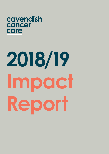## cavendish cancer care

# **2018/19 Impact Report**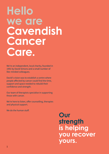## **Hello we are Cavendish Cancer Care.**

We're an independent, local charity, founded in 1991 by David Simons and a small number of like-minded colleagues.

David's vision was to establish a centre where people affected by cancer could find the time, support and space needed to rebuild their confidence and strength.

Our team of therapists specialise in supporting those with cancer.

We're here to listen, offer counselling, therapies and physical support.

We do the human stuff.

**Our strength is helping you recover yours.**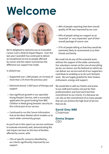## **Welcome**



We're delighted to welcome you to Cavendish Cancer Care's 2018/19 Impact Report. Over the last year Cavendish has continued to deliver an exceptional service to people affected by cancer and this report summarises the difference our support has made.

In 2018/19 we:

- Supported over 1,900 people, an increase of more than 11% from the previous year
- Delivered almost 7,500 hours of therapy and support
- Saw significant growth in our specialist Young People's Service, with a successful application for grant funding from BBC Children in Need giving fantastic security to this critical part of our service
- Continued to run the Cancer Information Hub at the Moor Market which enables us to reach wider community groups.

As you'll see in this report our service continues to evaluate extremely well, demonstrating the real impact we have on the lives of families affected by cancer, with:

• 79% of specific concerns identified by our clients significantly improved by our support

- 88% of people reporting that their overall quality of life was improved by our care
- 84% of people rating our support as an 'essential' or 'very important' part of their overall package of cancer care
- 97% of people telling us that they would be extremely likely to recommend us to their friends and family

We could not do any of this essential work without the support of the wider community. Our volunteers remain at the core of everything we do, our donors are the bedrock on which we can deliver our service and all of our supporters contribute to enabling us to do such fantastic work. We are hugely grateful for their tireless enthusiasm, energy and support.

We would like to add our thanks and praise to our staff and trustees not just for their professionalism and hard work but their commitment to our charity. It is because we can rely on the commitment of so many people that we can achieve the high level of service that we do.

**David Grey MBE** Chairman

#### **Emma Draper** CEO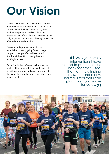## **Our Vision**

Cavendish Cancer Care believes that people affected by cancer have individual needs that cannot always be fully addressed by their health care providers and social support networks. We offer a place for people to go to talk, to get help to deal with the way cancer has affected them and their life.

We are an independent local charity, established in 1991, giving free of charge support to people affected by cancer in South Yorkshire, North Derbyshire and Nottinghamshire.

Our vision is clear. We want to improve the quality of life for people living with cancer by providing emotional and physical support to them and their families where and when they need it most.

With your timely interventions I have started to put the pieces back together. I feel that I am now finding the new me and a new normal. I feel that I can plan things and move forwards. **" "**<br>
inte<br>
ad t

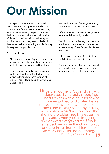## **Our Mission**

To help people in South Yorkshire, North Derbyshire and Nottinghamshire adjust to, cope with and face up to the impact of living with cancer by treating the person and not the illness. We aim to improve their quality of life, enrich their emotional wellbeing and provide the support they need to deal with the challenges life threatening and life limiting illness places on people's lives.

To achieve this we:

- Offer support, counselling and therapies to help people face the impact cancer can have on the lives of the patient and their family
- Have a team of trained professionals who work closely with people affected by cancer to give individually tailored support at critical times following a unique evaluated model of care
- Work with people to find ways to adjust, cope and improve their quality of life
- Offer a service that is free of charge to the patient and their family or friends
- Work in a collaborative way with the NHS, hospices and primary care to ensure the highest quality of care for people affected by cancer
- Help people to feel more in control, more confident and more able to cope
- Consider the needs of people we support and broaden our services to reach more people in new areas where appropriate

Before I came to Cavendish, I was depressed. I was really struggling. I had sessions with a counsellor who never judged or dictated he just showed me my options. It took a lot of stress and anxiety off me by making me realise it wasn't my fault and that sharing a problem really releases the pressure. When you're struggling to find answers everything feels cloudy, he helped me move the clouds away and see things from a different point of view. My condition hasn't changed, but my mind-set has. **T "**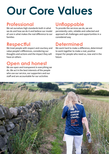## **Our Core Values**

### **Professional**

We set ourselves high standards both in what we do and how we do it and believe our model of care is what makes the real difference to our families

## **Respectful**

We treat people with respect and courtesy and value people's differences, considering our thoughts and actions and the impact they will have on others

## **Open and honest**

We are open and transparent in everything we do. We act in the best interests of the people who use our service, our supporters and our staff and are accountable for our activities

### **Unflappable**

To provide the services we do, we are persistently calm, reliable and collected and approach all challenges and opportunities in a considered way

### **Determined**

We work hard to make a difference, determined to work together to make a real, positive impact for people who need us, now and in the future

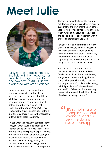## **Meet Julie**



Julie, 39, lives in Hackenthorpe, Sheffield, with her husband, her two children aged 11 and 9, and two cats. In 2018, Julie was diagnosed with breast cancer.

"After my diagnosis, my daughter in particular was quite emotional - she seemed to be getting upset about things a lot. I was worried about her, so my children's primary school passed on the details about Cavendish, and I got in touch about the Young People's Service. I thought the children might benefit from play therapy; there was no other service for older children that I could find.

My son wasn't particularly confident at the time, so I wasn't sure if he'd take to play therapy or not. But he loved the sessions – offering him a safe space to express himself and have fun was so valuable. Getting out of school for a bit was an added bonus for him, of course! Alongside my son's sessions, Helen, his therapist, gave me lots of advice and support over the phone.

This was invaluable during the summer holidays, as school was no longer there to support the children until the new school year started. My daughter started therapy when my son finished. She really likes art, so she did a lot of art therapy with a children's therapist called Ellie.

I began to notice a difference in both the children. They were calmer; I'd learned new ways to support them, and not demand too much of them. The therapy helped them understand what was happening, and why Mummy wasn't up for doing the usual activities for a while.

You can feel so alone when you're diagnosed with cancer. You and your family are just hit with this awful news, and you don't know anything about what's going to happen. That's why Cavendish is so important – it's a place full of lovely, helpful people, that's always there if you need it. It's been such a reassuring presence for me and the children, like a friend we can always turn to."

It's something a lot of people say about Cavendish, and it's true – the door is always open. **" "**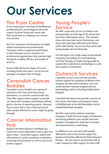## **Our Services**

## **Tim Pryor Centre**

At our home base in the heart of Sheffield we provide physical, psychological and social support to those living with cancer and their loved ones in a relaxing, non-clinical environment.

All of our assessors and therapists are highly skilled and experienced professionals. Therapists hold a recognised qualification in their therapies and are members of professional organisations that maintain high standards of safety, efficacy and quality of practice.

Anyone affected by the impact of cancer, including family and carers, can access our packages of support free of charge.

### **Cavendish Cancer Buddies**

Cavendish Cancer Buddies are a group of volunteers who have either had cancer themselves, or cared for someone who has. They offer regular phone support so people can share their thoughts and feelings without guilt or the fear of upsetting anyone. Because they've been there, they understand what other people affected by cancer might be going through.

### **Cancer Information Hub**

Based in the Moor Market in Sheffield City Centre the Cancer Information Hub is open five days a week. It provides support, advice and information on cancer symptoms, treatments, screening and prevention as well as sources of further support.

### **Young People's Service**

We offer a specialist service to children and young people up to the age of 18, whose lives have been affected by cancer. This includes those who have had cancer themselves, and those who have been affected by the illness within their family. The service also works with young people who are bereaved.

Our therapists use a wide range of approaches including Counselling, Art Psychotherapy and Play Therapy, to enable young people to explore their experiences and feelings in a safe and creative environment.

## **Outreach Services**

Cavendish Cancer Care currently provides holistic support for inpatients at Weston Park Hospital, the Macmillan Palliative Care Unit at the Northern General Hospital and the haematology wards at the Royal Hallamshire Hospital.

Cavendish therapists also provide a service at the Cancer Information and Support Centre in Sheffield and at the NGS Macmillan Unit at Chesterfield Royal Hospital.

Benefits reported by patients receiving therapies in both the acute stages of treatment and during palliative care include improved symptom management, reduction in anxiety and improvements in well-being.

In addition to our core work with people affected by cancer we provide support for people and families affected by Motor Neurone Disease . We also work in partnership with St Luke's Hospice to offer support for their staff.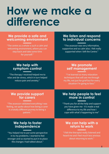## **How we make a difference**

#### **We provide a safe and welcoming environment**

"The centre as a whole is such a calm and welcoming environment, where you can step back and take some time for yourself."

#### **We listen and respond to individual concerns**

"The assessor was very informative, supportive and so calm also. I felt really supported when I left the Centre."

#### **We help with symptom control**

"The therapy I received helped me to relax and de-stress, which in turn helped reduce pain and anxiety."

#### **We promote self management**

"I've learned so many relaxation techniques that will see me through my life, not just for grief but for every situation I'm going to face."

#### **We provide support for carers**

"The assessor validated everything I was feeling, we spoke about how being a carer is a totally different journey to being a patient."

#### **We help people to feel more in control**

"Thank you for all the help and support you have given me - it's made a real difference to my life and how I cope with what's happening to me"

#### **We help to foster independence**

"You helped me to put some perspective in to my problems. I started to feel stronger and so started to put in to place the changes I had talked about."

#### **We can help with a return to work**

"I felt the therapist really listened and heard me and I feel much less anxious about returning to work."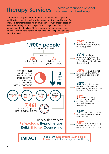## **Therapy Services**

#### Therapies to support physical and emotional wellbeing

Our model of care provides assessment and therapeutic support to families at all stages from diagnosis, through treatment and beyond. We offer 14 different therapies, which have been carefully chosen based on evidence that they can deliver specific and tangible benefits to cancer patients and their families. Offering such a wide range ensures that we can always find the right combination to suit each person and their individual needs.

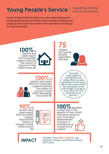## **Young People's Service**

Supporting children and young people

A team of experienced therapists use a wide range of approaches including play therapy, art therapy and counselling to enable young people up to the age of 18 to express their experiences and feelings in a safe environment.

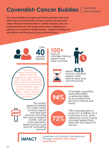## **Cavendish Cancer Buddies**

**Volunteer** peer support

Our Cancer Buddies are a group of trained volunteers who have either had cancer themselves or have cared for someone with cancer. Because they have been in a similar situation, they can understand what it is like to deal with a cancer diagnosis as a patient or as a partner or family member. Support is flexible and was offered over the phone, by text and face-to-face.



**experience**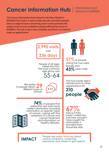## **Cancer Information Hub**

#### Information and advice in Sheffield

The Cancer Information Hub is based in the Moor Market in Sheffield City Centre. It aims to help educate and inform people about a range of issues concerning cancer and to promote the support and services available to people affected by cancer in Sheffield. The hub is open every weekday and there is no need to make an appointment.

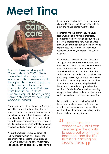## **Meet Tina**



Tina has been working with Cavendish since 2005. She is a qualified reflexologist and works as both an Assessor and a Therapist. Tina supports people at the Tim Pryor Centre and also at the Macmillan Palliative Care Unit at the Northern General Hospital. Before joining Cavendish's therapy team Tina worked in nursing.

There have been lots of changes at Cavendish since I first started but one thing that has always remained the same is how we support the whole person. I think this approach is one of our key strengths. It means that while we address specific concerns clients raise to us, like problems sleeping or feeling anxious, what we really do is treat their whole body.

All our therapies provide an element of talking therapy which gives clients the opportunity to discuss their worries and fears while they're having their treatment. Reflexology can be particularly good for this

because you're often face-to-face with your clients. Of course, clients can choose to be quiet and relax but many want to talk.

Clients tell me things that they've never told anyone else involved in their care. Sometimes we don't just talk about what a person is experiencing now but also what they've been through earlier in life. Previous experiences and trauma can affect your resilience and how you cope with a cancer diagnosis.

If someone is stressed, anxious, tense and struggling to relax the combination of touch therapy and talking can help to quieten their mind. People come to us when they are overwhelmed and have all these thoughts and fears going around in their head. During the therapy sessions, clients can have a rest from this. Their anxiety decreases and their confidence increases meaning they feel better and more able to cope. When the session is finished we've not taken anything away but they've been able to tell their story which helps them to process their situation.

I'm proud to be involved with Cavendish because we make a massive difference to people's lives in such a short space of time. We don't have the resources of a big charity but we still make a huge impact.

 I can't take the cancer away, but I can give people the ability to cope better with the treatment and the life that is still carrying on around them. **"**<br>C<br>C<br>C **"**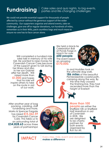#### **Fundraising**  $\Big|\begin{array}{c} \text{Case sales and quiz nights, to big events,} \\ \text{particles and life-changing challenges} \end{array}\Big|$ parties and life-changing challenges

We could not provide essential support for thousands of people affected by cancer without the generous support of the wider community. Our supporters organise and attend events, take on challenges, give one off or regular donations, run hundreds of miles, remember us in their Wills, pack countless bags and much more to ensure no-one has to face cancer alone.

Will completed a hundred mile bike ride in memory of his wife Gill. He wanted to raise money for Cavendish Cancer Care because of the support given to Gill during

her illness and also to her son Gabriel after her death. Will raised more than **£1,000** and hopes that his ride will inspire others to take on the route in aid of our work.



We held a black-tie Celebration Ball at Ponds Forge in March for over **600 people**. The event raised an amazing **£170,000.** 



Jo and Hoddles took on the ultimate dog walk. **186 miles** of the beautiful Pembrokeshire coastal path, camping along the way. By the time they crossed the finishing line, they had ascended more than the height of Everest!

After another year of bag packing, carolling, staff fundraising and more, Marks & Spencer Fargate has raised **£15,362.59**  for Cavendish Cancer Care. This takes us to an astounding total of **£54,828.63** across three years of partnerships!

**IPACT** 



#### **More than 100**

**people** ran either the Sheffield 10K or Sheffield Half Marathon in aid of Cavendish in 2018. We are delighted to be charity partners for both events organised by Run for All.



Every step, mile, event and donation **makes a difference**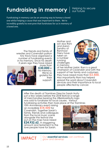## **Fundraising in memory** substitute the secure

### our future

Fundraising in memory can be an amazing way to honour a loved one whilst helping a cause that was important to them. We're incredibly grateful to everyone that fundraises for us in memory of a loved one.

> The friends and family of wrestler and Cavendish patron Kris Travis have organised a number of fundraising events in his memory. Since his death 3 years ago they have raised



more than **£30,000** in his memory. We're so grateful for their support.

Mother and son duo Rani and Aaron Sandhu of Ranmoor Friery have taken on a number running challenges in memory



of her Mother Jasbir. Rani is a great champion of Cavendish and with the support of her family and customers they have raised more than **£3,500.** Also importantly Rani has helped spread the word about Cavendish services and their importance to local people affected by cancer.

After the death of Tramlines Director Sarah Nulty just a few weeks before the 2018 festival a range of merchandise bearing the #BeMoreNulty logo was sold to fundraise for local causes. Various fundraising activities then took place at the Tramlines

10th Anniversary event raising an incredible **£14,500** for Cavendish. Together Sarah's family, friends and colleagues from the local music scene alongside the festival she put on the map have raised **£24,932.62.** A staggering amount and testament to the love people have for Sarah.



**IMPACT** Our **essential services** can continue, grow and develop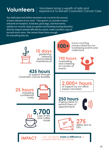## **Volunteers**

#### Volunteers bring a wealth of skills and experience to benefit Cavendish Cancer Care.

Our dedicated and skilled volunteers are crucial to the success of every element of our work. They govern us, provide a warm welcome at reception, fundraise, pack bags, marshal events, update our records, keep our garden and building looking beautiful, directly support people affected by cancer, make countless cups of tea and much more. We cannot thank them enough for everything they do.

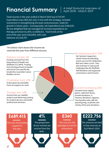## **Financial Summary**  $\begin{array}{r} \begin{array}{r} \begin{array}{r} \begin{array}{r} \end{array} & \end{array} & \begin{array}{r} \begin{array}{r} \end{array} & \end{array} & \begin{array}{r} \end{array} & \begin{array}{r} \end{array} & \end{array} & \begin{array}{r} \end{array} & \end{array} \end{array}$

Total income in the year ended 31 March 2019 was £778,787. Expenditure was £965,422 and, in line with the strategy, included investment in strengthening the team and processes, ready for growth in future years. Consequently, net expenditure was £186,635. We are delighted that we managed to increase expenditure on therapy provision by 26%, to £689,415. Total funds at the end of the year were £410,009, with cash balances at £239,767.

The below chart shows the income we received this year from different sources.

#### Statutory bodies 6%

Funding received from the Department of Health and Sheffield CCG (NHS). Funding from the Department of Health and Social Care specifically funded the Cavendish Cancer Buddies service.

#### Charitable trusts 10%

Grants given by charitable trusts to support our work.

#### Therapy fees 24%

Income from our satellite projects and delivering training for student doctors and health professional seminars.

#### Fundraising events 35%

Our fantastic supporters raised money by attending events such as the Celebration Ball and Ladies Lunch. They also took part in sponsored challenges like the Sheffield Half Marathon and organised community in aid of events.

#### Centre Fundraising 25%

Donation from regular givers, collection boxes, private donations, in memory donations, legacies, merchandise sales, gift aid, payroll giving, corporate and charity of the year donations.

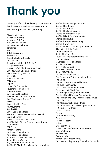## **Thank you**

We are grateful to the following organisations that have supported our work over the last year. We appreciate their generosity.

7 Legal and Finance Abbeydale Brewery Abbeydale Golf Club BBC Children in Need Bell & Buxton Solicitors Benchmark **BHP** British Silverware BRM Solicitors Coventry Building Society DB Cargo UK Department of Health & Social Care Dick's Board Store Dixon Pitchfork Charitable Trust Fund Earl Fitzwilliam Charitable Trust Eyam Domiciliary Service Gilly's Gift Graysons Solicitors GRI Group **Gripple** Hallam FM Cash for Kids Hallamshire Round Table Hot Metal Press Irwin Mitchell Solicitors J W Chapman Earlesmere Trust Jane Tomlinson's Run for All Jaywing Joseph Sheldon Trust Journeysmiths Keebles LLP Lloyds Bank Foundation Marjorie Coote Old People's Charity Fund Marks & Spencer Masonic Charitable Foundation NHS Sheffield Clinical Commissioning Group Nilec Electrical OSL Group Parker Hannafin Paul Grant Charitable Trust Pink Ribbon Foundation Rotary Club of Sheffield Vulcan Rotary Club of Wortley Royal Airforce Aerobatic Team Sheffield & District Association for the Disabled Sheffield Church Burgesses Trust Sheffield City Council Sheffield City Trust Sheffield Hallam University Sheffield Hospitals Charity Sheffield Life & Pensions Society Sheffield Print Club Sheffield Soroptimist Housing Sheffield Town Trust Sheffield United Community Foundation Silver Web Holistic Centre Simon James Cars Souter Charitable Trust South Yorkshire Motor Neurone Disease Association St James's Place Foundation St Luke's Hospice St Mary's Lane Trust Swann Morton Foundation Sytner BMW Sheffield The Baer Charitable Trust The Company of Cutlers in Hallamshire The Co-op The Harry Bottom Charitable Trust The Hugh Neill Charity The J G Graves Charitable Trust The James Neill Trust Fund The Montagu Family Charitable Trust The Ronald and Kathleen Pryor Charity The Sir Hugh and Lady Sykes Charitable Trust The Talbot Trusts The Whitecourt Charitable Trust The Zachary Merton and George Woofindin Convalescent Trust Thessco Limited **Thincats** Thornbridge Brewery **Thorntons** Tramlines Festival Unison Unite the Union University of Sheffield Students' Union Utopia Tableware Virgin Money Wednesdayite Weston Park Cancer Charity Yorkshire Building Society Charitable Foundation